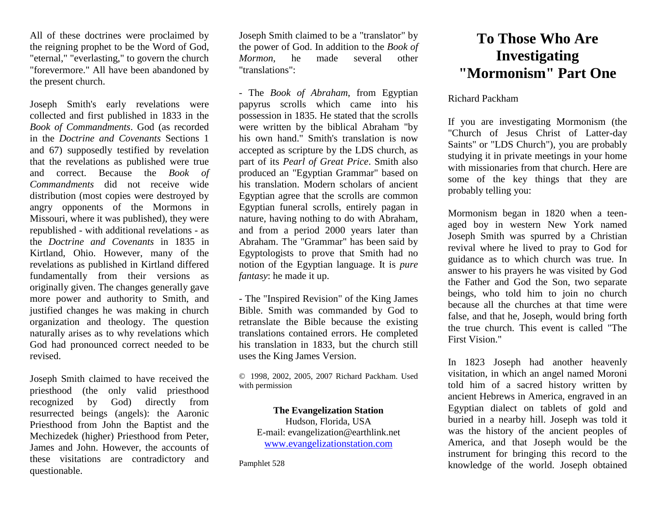All of these doctrines were proclaimed by the reigning prophet to be the Word of God, "eternal," "everlasting," to govern the church "forevermore." All have been abandoned by the present church.

Joseph Smith's early revelations were collected and first published in 1833 in the *Book of Commandments*. God (as recorded in the *Doctrine and Covenants* Sections 1 and 67) supposedly testified by revelation that the revelations as published were true and correct. Because the *Book of Commandments* did not receive wide distribution (most copies were destroyed by angry opponents of the Mormons in Missouri, where it was published), they were republished - with additional revelations - as the *Doctrine and Covenants* in 1835 in Kirtland, Ohio. However, many of the revelations as published in Kirtland differed fundamentally from their versions as originally given. The changes generally gave more power and authority to Smith, and justified changes he was making in church organization and theology. The question naturally arises as to why revelations which God had pronounced correct needed to be revised.

Joseph Smith claimed to have received the priesthood (the only valid priesthood recognized by God) directly from resurrected beings (angels): the Aaronic Priesthood from John the Baptist and the Mechizedek (higher) Priesthood from Peter, James and John. However, the accounts of these visitations are contradictory and questionable.

Joseph Smith claimed to be a "translator" by the power of God. In addition to the *Book of Mormon*, he made several other "translations":

- The *Book of Abraham*, from Egyptian papyrus scrolls which came into his possession in 1835. He stated that the scrolls were written by the biblical Abraham "by his own hand." Smith's translation is now accepted as scripture by the LDS church, as part of its *Pearl of Great Price*. Smith also produced an "Egyptian Grammar" based on his translation. Modern scholars of ancient Egyptian agree that the scrolls are common Egyptian funeral scrolls, entirely pagan in nature, having nothing to do with Abraham, and from a period 2000 years later than Abraham. The "Grammar" has been said by Egyptologists to prove that Smith had no notion of the Egyptian language. It is *pure fantasy*: he made it up.

- The "Inspired Revision" of the King James Bible. Smith was commanded by God to retranslate the Bible because the existing translations contained errors. He completed his translation in 1833, but the church still uses the King James Version.

© 1998, 2002, 2005, 2007 Richard Packham. Used with permission

## **The Evangelization Station**

Hudson, Florida, USA E-mail: evangelization@earthlink.net [www.evangelizationstation.com](http://www.pjpiisoe.org/)

Pamphlet 528

## **To Those Who Are Investigating "Mormonism" Part One**

## Richard Packham

If you are investigating Mormonism (the "Church of Jesus Christ of Latter-day Saints" or "LDS Church"), you are probably studying it in private meetings in your home with missionaries from that church. Here are some of the key things that they are probably telling you:

Mormonism began in 1820 when a teenaged boy in western New York named Joseph Smith was spurred by a Christian revival where he lived to pray to God for guidance as to which church was true. In answer to his prayers he was visited by God the Father and God the Son, two separate beings, who told him to join no church because all the churches at that time were false, and that he, Joseph, would bring forth the true church. This event is called "The First Vision."

In 1823 Joseph had another heavenly visitation, in which an angel named Moroni told him of a sacred history written by ancient Hebrews in America, engraved in an Egyptian dialect on tablets of gold and buried in a nearby hill. Joseph was told it was the history of the ancient peoples of America, and that Joseph would be the instrument for bringing this record to the knowledge of the world. Joseph obtained